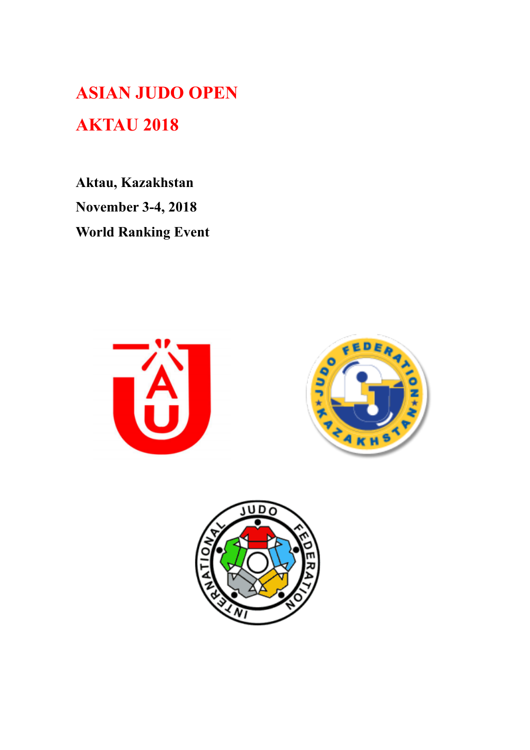**ASIAN JUDO OPEN AKTAU 2018** 

**Aktau, Kazakhstan November 3-4, 2018 World Ranking Event** 





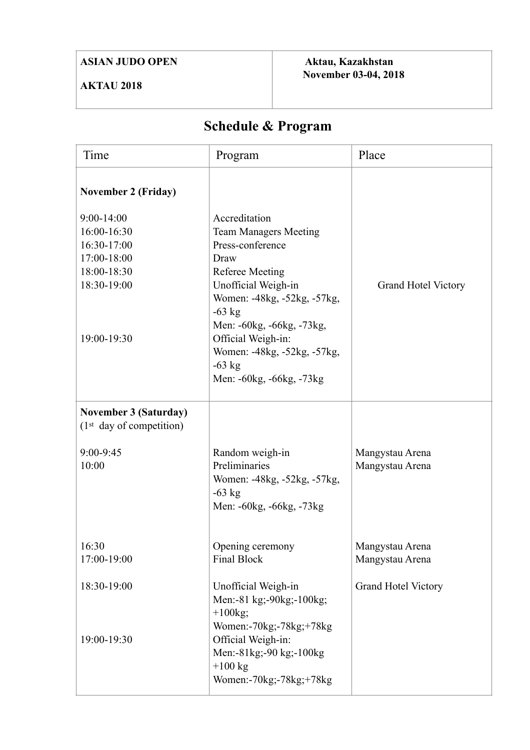## **ASIAN JUDO OPEN**

## **AKTAU 2018**

 **Aktau, Kazakhstan November 03-04, 2018** 

# **Schedule & Program**

| Time                                                                                                                                   | Program                                                                                                                                                                                                                                                                                         | Place                              |
|----------------------------------------------------------------------------------------------------------------------------------------|-------------------------------------------------------------------------------------------------------------------------------------------------------------------------------------------------------------------------------------------------------------------------------------------------|------------------------------------|
| <b>November 2 (Friday)</b><br>$9:00 - 14:00$<br>16:00-16:30<br>16:30-17:00<br>17:00-18:00<br>18:00-18:30<br>18:30-19:00<br>19:00-19:30 | Accreditation<br><b>Team Managers Meeting</b><br>Press-conference<br>Draw<br><b>Referee Meeting</b><br>Unofficial Weigh-in<br>Women: -48kg, -52kg, -57kg,<br>$-63$ kg<br>Men: -60kg, -66kg, -73kg,<br>Official Weigh-in:<br>Women: -48kg, -52kg, -57kg,<br>$-63$ kg<br>Men: -60kg, -66kg, -73kg | <b>Grand Hotel Victory</b>         |
| <b>November 3 (Saturday)</b><br>(1 <sup>st</sup> day of competition)<br>9:00-9:45<br>10:00                                             | Random weigh-in<br>Preliminaries<br>Women: -48kg, -52kg, -57kg,<br>$-63$ kg<br>Men: -60kg, -66kg, -73kg                                                                                                                                                                                         | Mangystau Arena<br>Mangystau Arena |
| 16:30<br>17:00-19:00                                                                                                                   | Opening ceremony<br><b>Final Block</b>                                                                                                                                                                                                                                                          | Mangystau Arena<br>Mangystau Arena |
| 18:30-19:00<br>19:00-19:30                                                                                                             | Unofficial Weigh-in<br>Men:-81 kg;-90kg;-100kg;<br>$+100$ kg;<br>Women:-70kg;-78kg;+78kg<br>Official Weigh-in:<br>Men:-81kg;-90 kg;-100kg<br>$+100$ kg<br>Women:-70kg;-78kg;+78kg                                                                                                               | <b>Grand Hotel Victory</b>         |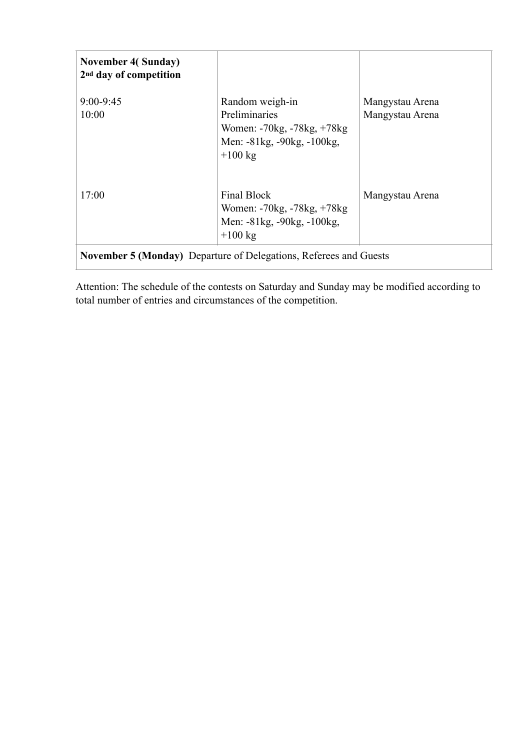| <b>November 4(Sunday)</b><br>2 <sup>nd</sup> day of competition          |                                                                                                           |                                    |
|--------------------------------------------------------------------------|-----------------------------------------------------------------------------------------------------------|------------------------------------|
| $9:00 - 9:45$<br>10:00                                                   | Random weigh-in<br>Preliminaries<br>Women: -70kg, -78kg, +78kg<br>Men: -81kg, -90kg, -100kg,<br>$+100$ kg | Mangystau Arena<br>Mangystau Arena |
| 17:00                                                                    | Final Block<br>Women: -70kg, -78kg, +78kg<br>Men: -81kg, -90kg, -100kg,<br>$+100 \text{ kg}$              | Mangystau Arena                    |
| <b>November 5 (Monday)</b> Departure of Delegations, Referees and Guests |                                                                                                           |                                    |

Attention: The schedule of the contests on Saturday and Sunday may be modified according to total number of entries and circumstances of the competition.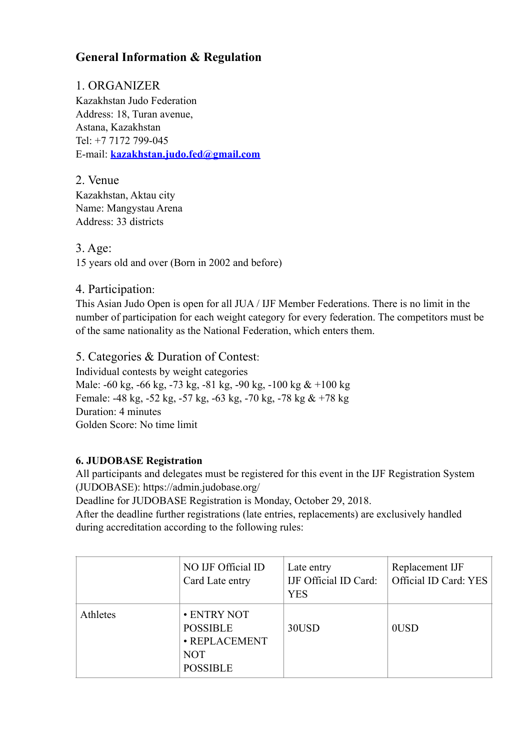## **General Information & Regulation**

## 1. ORGANIZER

Kazakhstan Judo Federation Address: 18, Turan avenue, Astana, Kazakhstan Tel: +7 7172 799-045 E-mail: **[kazakhstan.judo.fed@gmail.com](mailto:kazakhstan.judo.fed@gmail.com)** 

2. Venue Kazakhstan, Aktau city Name: Mangystau Arena Address: 33 districts

## 3. Age:

15 years old and over (Born in 2002 and before)

## 4. Participation:

This Asian Judo Open is open for all JUA / IJF Member Federations. There is no limit in the number of participation for each weight category for every federation. The competitors must be of the same nationality as the National Federation, which enters them.

## 5. Categories & Duration of Contest:

Individual contests by weight categories Male: -60 kg, -66 kg, -73 kg, -81 kg, -90 kg, -100 kg & +100 kg Female: -48 kg, -52 kg, -57 kg, -63 kg, -70 kg, -78 kg & +78 kg Duration: 4 minutes Golden Score: No time limit

#### **6. JUDOBASE Registration**

All participants and delegates must be registered for this event in the IJF Registration System (JUDOBASE): https://admin.judobase.org/

Deadline for JUDOBASE Registration is Monday, October 29, 2018.

After the deadline further registrations (late entries, replacements) are exclusively handled during accreditation according to the following rules:

|          | NO IJF Official ID<br>Card Late entry                                            | Late entry<br>IJF Official ID Card:<br><b>YES</b> | Replacement IJF<br>Official ID Card: YES |
|----------|----------------------------------------------------------------------------------|---------------------------------------------------|------------------------------------------|
| Athletes | • ENTRY NOT<br><b>POSSIBLE</b><br>· REPLACEMENT<br><b>NOT</b><br><b>POSSIBLE</b> | 30USD                                             | 0USD                                     |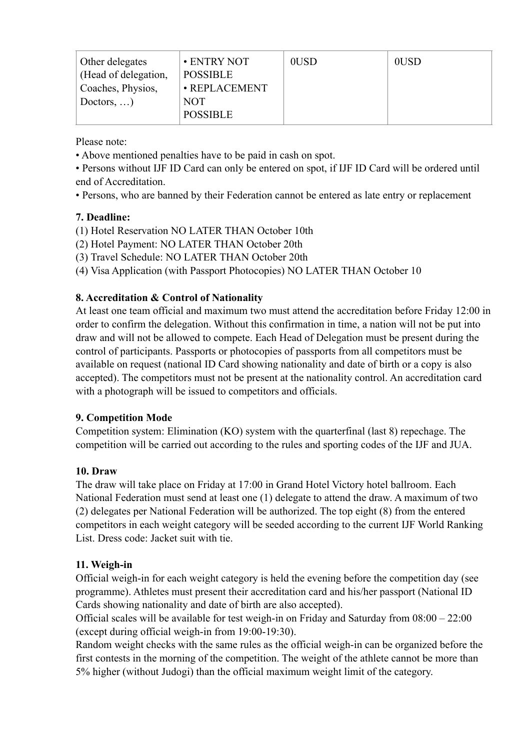| Other delegates<br>(Head of delegation, | • ENTRY NOT<br><b>POSSIBLE</b> | 0USD | 0USD |
|-----------------------------------------|--------------------------------|------|------|
| Coaches, Physios,                       | · REPLACEMENT                  |      |      |
| Doctors, $\dots$ )                      | <b>NOT</b><br><b>POSSIBLE</b>  |      |      |

Please note:

• Above mentioned penalties have to be paid in cash on spot.

• Persons without IJF ID Card can only be entered on spot, if IJF ID Card will be ordered until end of Accreditation.

• Persons, who are banned by their Federation cannot be entered as late entry or replacement

#### **7. Deadline:**

- (1) Hotel Reservation NO LATER THAN October 10th
- (2) Hotel Payment: NO LATER THAN October 20th
- (3) Travel Schedule: NO LATER THAN October 20th

(4) Visa Application (with Passport Photocopies) NO LATER THAN October 10

## **8. Accreditation & Control of Nationality**

At least one team official and maximum two must attend the accreditation before Friday 12:00 in order to confirm the delegation. Without this confirmation in time, a nation will not be put into draw and will not be allowed to compete. Each Head of Delegation must be present during the control of participants. Passports or photocopies of passports from all competitors must be available on request (national ID Card showing nationality and date of birth or a copy is also accepted). The competitors must not be present at the nationality control. An accreditation card with a photograph will be issued to competitors and officials.

#### **9. Competition Mode**

Competition system: Elimination (KO) system with the quarterfinal (last 8) repechage. The competition will be carried out according to the rules and sporting codes of the IJF and JUA.

#### **10. Draw**

The draw will take place on Friday at 17:00 in Grand Hotel Victory hotel ballroom. Each National Federation must send at least one (1) delegate to attend the draw. A maximum of two (2) delegates per National Federation will be authorized. The top eight (8) from the entered competitors in each weight category will be seeded according to the current IJF World Ranking List. Dress code: Jacket suit with tie.

#### **11. Weigh-in**

Official weigh-in for each weight category is held the evening before the competition day (see programme). Athletes must present their accreditation card and his/her passport (National ID Cards showing nationality and date of birth are also accepted).

Official scales will be available for test weigh-in on Friday and Saturday from 08:00 – 22:00 (except during official weigh-in from 19:00-19:30).

Random weight checks with the same rules as the official weigh-in can be organized before the first contests in the morning of the competition. The weight of the athlete cannot be more than 5% higher (without Judogi) than the official maximum weight limit of the category.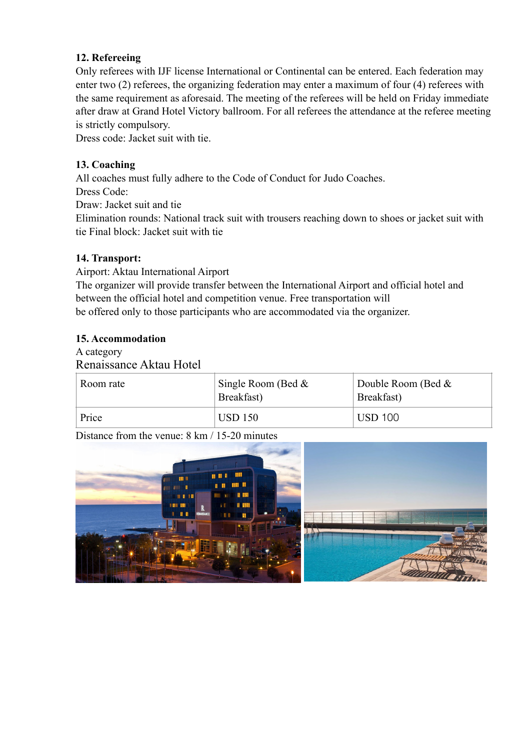#### **12. Refereeing**

Only referees with IJF license International or Continental can be entered. Each federation may enter two (2) referees, the organizing federation may enter a maximum of four (4) referees with the same requirement as aforesaid. The meeting of the referees will be held on Friday immediate after draw at Grand Hotel Victory ballroom. For all referees the attendance at the referee meeting is strictly compulsory.

Dress code: Jacket suit with tie.

#### **13. Coaching**

All coaches must fully adhere to the Code of Conduct for Judo Coaches.

Dress Code:

Draw: Jacket suit and tie

Elimination rounds: National track suit with trousers reaching down to shoes or jacket suit with tie Final block: Jacket suit with tie

#### **14. Transport:**

Airport: Aktau International Airport

The organizer will provide transfer between the International Airport and official hotel and between the official hotel and competition venue. Free transportation will be offered only to those participants who are accommodated via the organizer.

#### **15. Accommodation**

A category Renaissance Aktau Hotel

| Room rate | Single Room (Bed $\&$<br>Breakfast) | Double Room (Bed $\&$<br>Breakfast) |
|-----------|-------------------------------------|-------------------------------------|
| Price     | <b>USD 150</b>                      | <b>USD 100</b>                      |

Distance from the venue: 8 km / 15-20 minutes

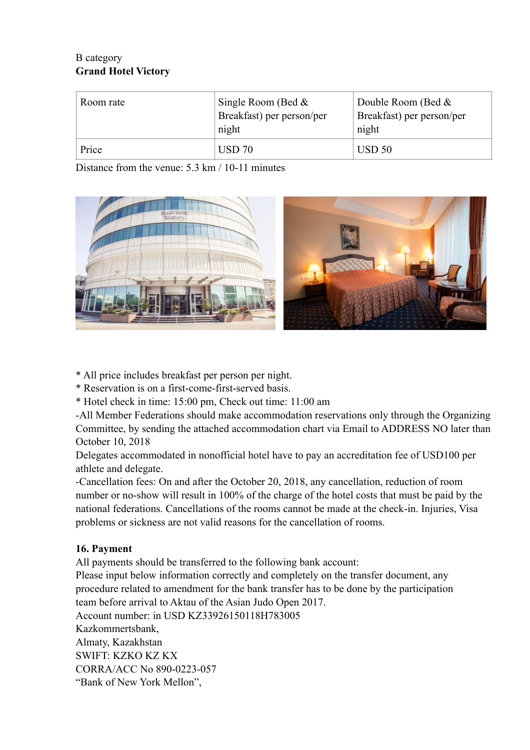## B category **Grand Hotel Victory**

| Room rate | Single Room (Bed $\&$<br>Breakfast) per person/per<br>night | Double Room (Bed $\&$<br>Breakfast) per person/per<br>night |
|-----------|-------------------------------------------------------------|-------------------------------------------------------------|
| Price     | <b>USD 70</b>                                               | USD <sub>50</sub>                                           |

Distance from the venue: 5.3 km / 10-11 minutes



\* All price includes breakfast per person per night.

\* Reservation is on a first-come-first-served basis.

\* Hotel check in time: 15:00 pm, Check out time: 11:00 am

-All Member Federations should make accommodation reservations only through the Organizing Committee, by sending the attached accommodation chart via Email to ADDRESS NO later than October 10, 2018

Delegates accommodated in nonofficial hotel have to pay an accreditation fee of USD100 per athlete and delegate.

-Cancellation fees: On and after the October 20, 2018, any cancellation, reduction of room number or no-show will result in 100% of the charge of the hotel costs that must be paid by the national federations. Cancellations of the rooms cannot be made at the check-in. Injuries, Visa problems or sickness are not valid reasons for the cancellation of rooms.

## **16. Payment**

All payments should be transferred to the following bank account:

Please input below information correctly and completely on the transfer document, any procedure related to amendment for the bank transfer has to be done by the participation team before arrival to Aktau of the Asian Judo Open 2017.

Account number: in USD KZ33926150118H783005 Kazkommertsbank, Almaty, Kazakhstan SWIFT: KZKO KZ KX CORRA/ACC No 890-0223-057 "Bank of New York Mellon",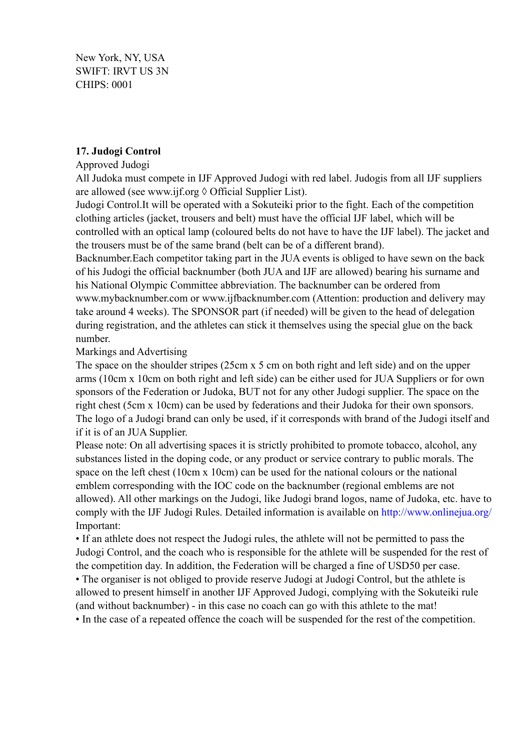New York, NY, USA SWIFT: IRVT US 3N CHIPS: 0001

#### **17. Judogi Control**

#### Approved Judogi

All Judoka must compete in IJF Approved Judogi with red label. Judogis from all IJF suppliers are allowed (see www.ijf.org  $\Diamond$  Official Supplier List).

Judogi Control.It will be operated with a Sokuteiki prior to the fight. Each of the competition clothing articles (jacket, trousers and belt) must have the official IJF label, which will be controlled with an optical lamp (coloured belts do not have to have the IJF label). The jacket and the trousers must be of the same brand (belt can be of a different brand).

Backnumber.Each competitor taking part in the JUA events is obliged to have sewn on the back of his Judogi the official backnumber (both JUA and IJF are allowed) bearing his surname and his National Olympic Committee abbreviation. The backnumber can be ordered from www.mybacknumber.com or www.ijfbacknumber.com (Attention: production and delivery may take around 4 weeks). The SPONSOR part (if needed) will be given to the head of delegation during registration, and the athletes can stick it themselves using the special glue on the back number.

#### Markings and Advertising

The space on the shoulder stripes (25cm x 5 cm on both right and left side) and on the upper arms (10cm x 10cm on both right and left side) can be either used for JUA Suppliers or for own sponsors of the Federation or Judoka, BUT not for any other Judogi supplier. The space on the right chest (5cm x 10cm) can be used by federations and their Judoka for their own sponsors. The logo of a Judogi brand can only be used, if it corresponds with brand of the Judogi itself and if it is of an JUA Supplier.

Please note: On all advertising spaces it is strictly prohibited to promote tobacco, alcohol, any substances listed in the doping code, or any product or service contrary to public morals. The space on the left chest (10cm x 10cm) can be used for the national colours or the national emblem corresponding with the IOC code on the backnumber (regional emblems are not allowed). All other markings on the Judogi, like Judogi brand logos, name of Judoka, etc. have to comply with the IJF Judogi Rules. Detailed information is available on http://www.onlinejua.org/ Important:

• If an athlete does not respect the Judogi rules, the athlete will not be permitted to pass the Judogi Control, and the coach who is responsible for the athlete will be suspended for the rest of the competition day. In addition, the Federation will be charged a fine of USD50 per case.

• The organiser is not obliged to provide reserve Judogi at Judogi Control, but the athlete is allowed to present himself in another IJF Approved Judogi, complying with the Sokuteiki rule (and without backnumber) - in this case no coach can go with this athlete to the mat!

• In the case of a repeated offence the coach will be suspended for the rest of the competition.